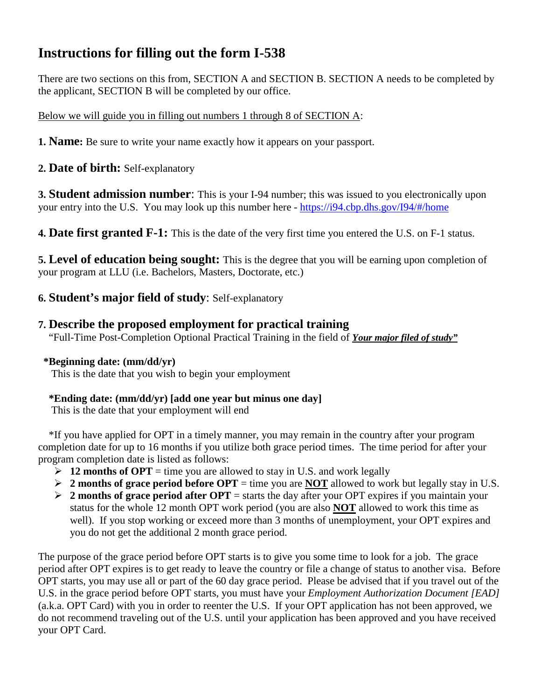## **Instructions for filling out the form I-538**

There are two sections on this from, SECTION A and SECTION B. SECTION A needs to be completed by the applicant, SECTION B will be completed by our office.

#### Below we will guide you in filling out numbers 1 through 8 of SECTION A:

**1. Name:** Be sure to write your name exactly how it appears on your passport.

**2. Date of birth:** Self-explanatory

**3. Student admission number**: This is your I-94 number; this was issued to you electronically upon your entry into the U.S. You may look up this number here - <https://i94.cbp.dhs.gov/I94/#/home>

**4. Date first granted F-1:** This is the date of the very first time you entered the U.S. on F-1 status.

**5. Level of education being sought:** This is the degree that you will be earning upon completion of your program at LLU (i.e. Bachelors, Masters, Doctorate, etc.)

### **6. Student's major field of study**: Self-explanatory

### **7. Describe the proposed employment for practical training**

"Full-Time Post-Completion Optional Practical Training in the field of *Your major filed of study"* 

#### **\*Beginning date: (mm/dd/yr)**

This is the date that you wish to begin your employment

#### **\*Ending date: (mm/dd/yr) [add one year but minus one day]**

This is the date that your employment will end

 \*If you have applied for OPT in a timely manner, you may remain in the country after your program completion date for up to 16 months if you utilize both grace period times. The time period for after your program completion date is listed as follows:

- $\geq 12$  months of OPT = time you are allowed to stay in U.S. and work legally
- **2 months of grace period before OPT** = time you are **NOT** allowed to work but legally stay in U.S.
- $\geq 2$  months of grace period after OPT = starts the day after your OPT expires if you maintain your status for the whole 12 month OPT work period (you are also **NOT** allowed to work this time as well). If you stop working or exceed more than 3 months of unemployment, your OPT expires and you do not get the additional 2 month grace period.

The purpose of the grace period before OPT starts is to give you some time to look for a job. The grace period after OPT expires is to get ready to leave the country or file a change of status to another visa. Before OPT starts, you may use all or part of the 60 day grace period. Please be advised that if you travel out of the U.S. in the grace period before OPT starts, you must have your *Employment Authorization Document [EAD]* (a.k.a. OPT Card) with you in order to reenter the U.S. If your OPT application has not been approved, we do not recommend traveling out of the U.S. until your application has been approved and you have received your OPT Card.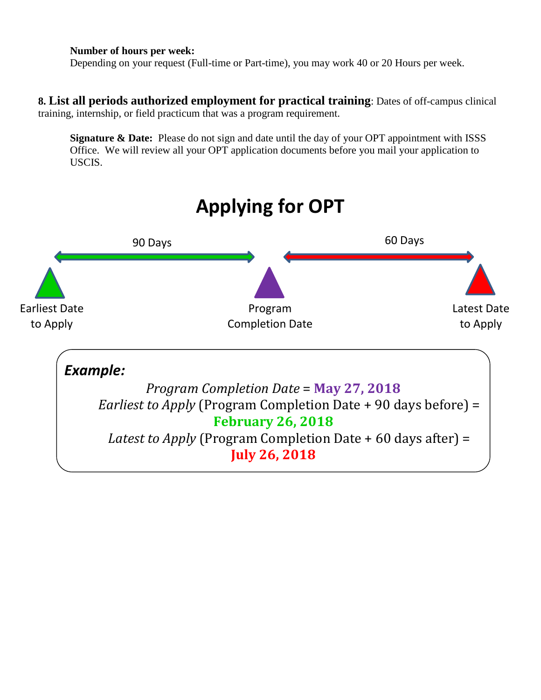#### **Number of hours per week:**

Depending on your request (Full-time or Part-time), you may work 40 or 20 Hours per week.

**8. List all periods authorized employment for practical training**: Dates of off-campus clinical training, internship, or field practicum that was a program requirement.

**Signature & Date:** Please do not sign and date until the day of your OPT appointment with ISSS Office. We will review all your OPT application documents before you mail your application to USCIS.